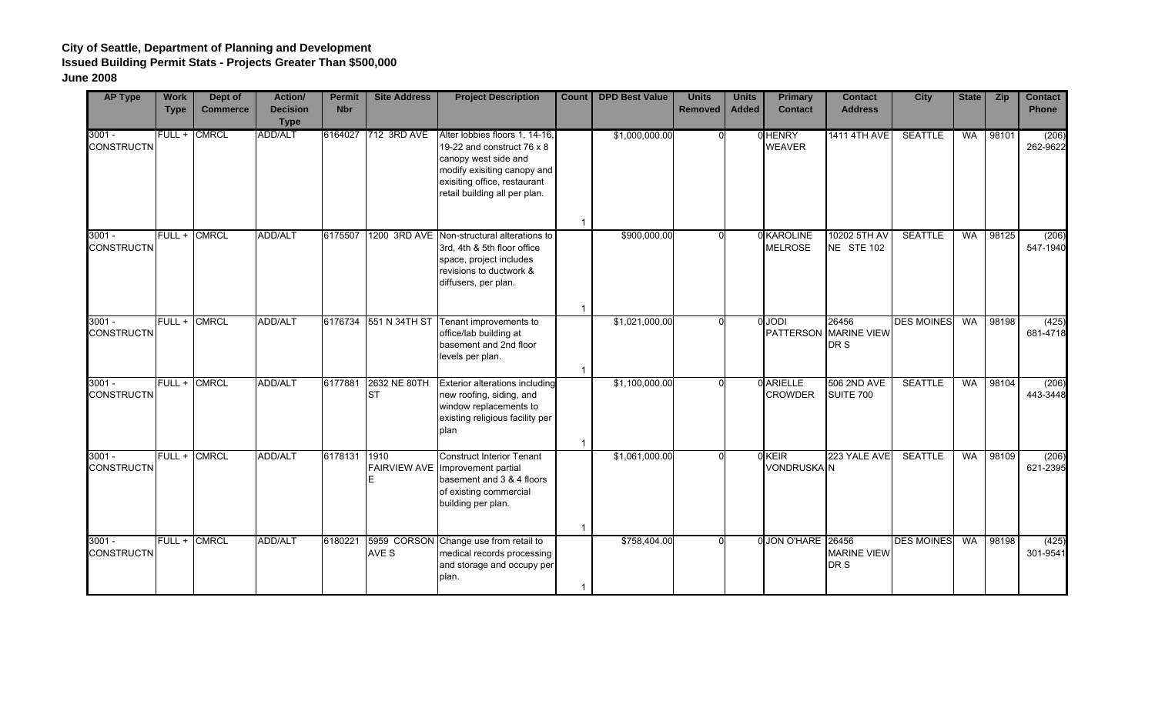| <b>AP Type</b>                | <b>Work</b><br><b>Type</b> | Dept of<br><b>Commerce</b> | <b>Action/</b><br><b>Decision</b><br><b>Type</b> | <b>Permit</b><br><b>Nbr</b> | <b>Site Address</b>       | <b>Project Description</b>                                                                                                                                                           | Count | <b>DPD Best Value</b> | <b>Units</b><br><b>Removed</b> | <b>Units</b><br><b>Added</b> | <b>Primary</b><br><b>Contact</b>  | <b>Contact</b><br><b>Address</b>    | <b>City</b>       | <b>State</b> | <b>Zip</b> | <b>Contact</b><br><b>Phone</b> |
|-------------------------------|----------------------------|----------------------------|--------------------------------------------------|-----------------------------|---------------------------|--------------------------------------------------------------------------------------------------------------------------------------------------------------------------------------|-------|-----------------------|--------------------------------|------------------------------|-----------------------------------|-------------------------------------|-------------------|--------------|------------|--------------------------------|
| $3001 -$<br><b>CONSTRUCTN</b> |                            | FULL + CMRCL               | ADD/ALT                                          | 6164027                     | 712 3RD AVE               | Alter lobbies floors 1, 14-16,<br>19-22 and construct 76 x 8<br>canopy west side and<br>modify exisiting canopy and<br>exisiting office, restaurant<br>retail building all per plan. |       | \$1,000,000.00        | $\Omega$                       |                              | 0 HENRY<br><b>WEAVER</b>          | <b>1411 4TH AVE</b>                 | <b>SEATTLE</b>    | WA           | 98101      | (206)<br>262-9622              |
| $3001 -$<br><b>CONSTRUCTN</b> |                            | FULL + CMRCL               | <b>ADD/ALT</b>                                   | 6175507                     |                           | 1200 3RD AVE Non-structural alterations to<br>3rd, 4th & 5th floor office<br>space, project includes<br>revisions to ductwork &<br>diffusers, per plan.                              |       | \$900,000.00          |                                |                              | 0 KAROLINE<br><b>MELROSE</b>      | 10202 5TH AV<br>NE STE 102          | <b>SEATTLE</b>    | <b>WA</b>    | 98125      | (206)<br>547-1940              |
| $3001 -$<br><b>CONSTRUCTN</b> | FULL + CMRCL               |                            | ADD/ALT                                          | 6176734                     | 551 N 34TH ST             | Tenant improvements to<br>office/lab building at<br>basement and 2nd floor<br>levels per plan.                                                                                       | -1    | \$1,021,000.00        |                                |                              | <b>O</b> JODI<br><b>PATTERSON</b> | 26456<br><b>MARINE VIEW</b><br>DR S | <b>DES MOINES</b> | <b>WA</b>    | 98198      | (425)<br>681-4718              |
| $3001 -$<br><b>CONSTRUCTN</b> |                            | FULL + CMRCL               | ADD/ALT                                          | 6177881                     | 2632 NE 80TH<br><b>ST</b> | <b>Exterior alterations including</b><br>new roofing, siding, and<br>window replacements to<br>existing religious facility per<br>plan                                               |       | \$1,100,000.00        |                                |                              | 0 ARIELLE<br><b>CROWDER</b>       | 506 2ND AVE<br>SUITE 700            | <b>SEATTLE</b>    | <b>WA</b>    | 98104      | (206)<br>443-3448              |
| $3001 -$<br><b>CONSTRUCTN</b> |                            | FULL + CMRCL               | ADD/ALT                                          | 6178131                     | 1910                      | <b>Construct Interior Tenant</b><br>FAIRVIEW AVE Improvement partial<br>basement and 3 & 4 floors<br>of existing commercial<br>building per plan.                                    |       | \$1,061,000.00        |                                |                              | $0$ KEIR<br><b>VONDRUSKA N</b>    | 223 YALE AVE                        | <b>SEATTLE</b>    | <b>WA</b>    | 98109      | (206)<br>621-2395              |
| $3001 -$<br><b>CONSTRUCTN</b> |                            | FULL + CMRCL               | <b>ADD/ALT</b>                                   | 6180221                     | AVE S                     | 5959 CORSON Change use from retail to<br>medical records processing<br>and storage and occupy per<br>plan.                                                                           |       | \$758,404.00          |                                |                              | 0 JON O'HARE 26456                | <b>MARINE VIEW</b><br>DR S          | <b>DES MOINES</b> | <b>WA</b>    | 98198      | (425)<br>301-9541              |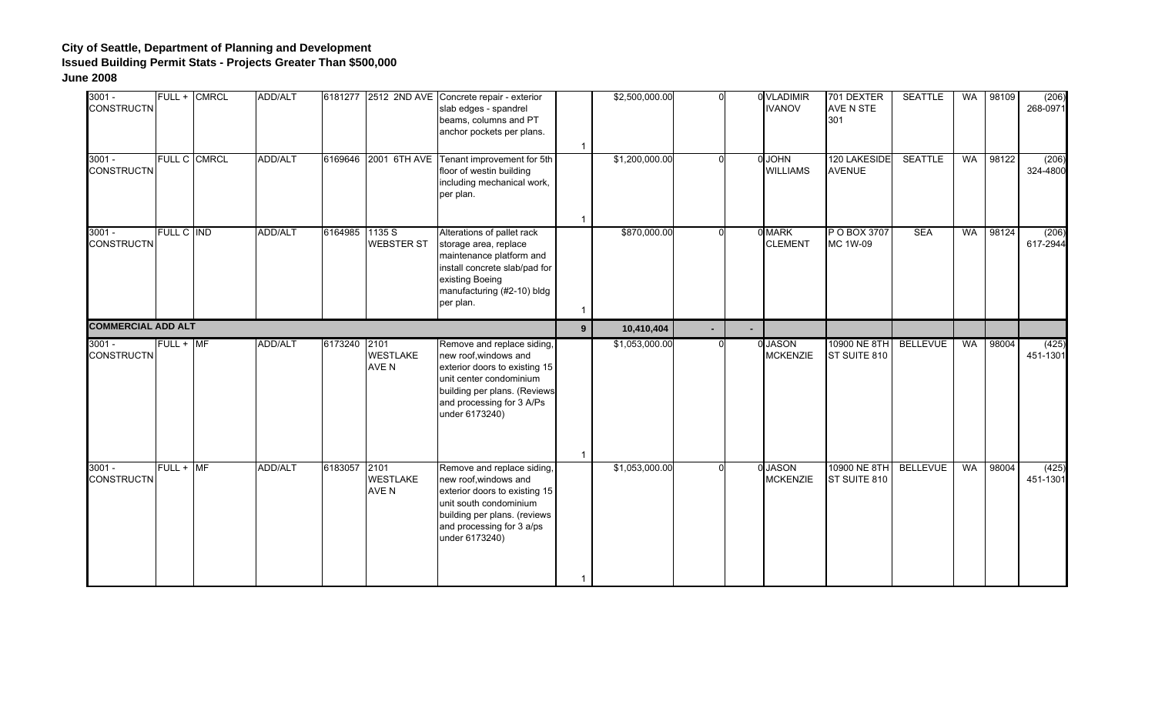| $3001 -$<br><b>CONSTRUCTN</b> |             | FULL + CMRCL        | ADD/ALT        |                |                          | 6181277 2512 2ND AVE Concrete repair - exterior<br>slab edges - spandrel<br>beams, columns and PT<br>anchor pockets per plans.                                                                 | $\overline{\mathbf{1}}$                | \$2,500,000.00 | $\Omega$ | 0 VLADIMIR<br><b>IVANOV</b>      | 701 DEXTER<br>AVE N STE<br>301 | <b>SEATTLE</b>  | <b>WA</b> | 98109 | (206)<br>268-0971 |
|-------------------------------|-------------|---------------------|----------------|----------------|--------------------------|------------------------------------------------------------------------------------------------------------------------------------------------------------------------------------------------|----------------------------------------|----------------|----------|----------------------------------|--------------------------------|-----------------|-----------|-------|-------------------|
| $3001 -$<br><b>CONSTRUCTN</b> |             | <b>FULL C CMRCL</b> | ADD/ALT        |                |                          | 6169646 2001 6TH AVE Tenant improvement for 5th<br>floor of westin building<br>including mechanical work,<br>per plan.                                                                         |                                        | \$1,200,000.00 |          | <b>O</b> JOHN<br><b>WILLIAMS</b> | 120 LAKESIDE<br><b>AVENUE</b>  | <b>SEATTLE</b>  | <b>WA</b> | 98122 | (206)<br>324-4800 |
| $3001 -$<br><b>CONSTRUCTN</b> | FULL C IND  |                     | <b>ADD/ALT</b> | 6164985 1135 S | <b>WEBSTER ST</b>        | Alterations of pallet rack<br>storage area, replace<br>maintenance platform and<br>install concrete slab/pad for<br>existing Boeing<br>manufacturing (#2-10) bldg<br>per plan.                 | $\overline{\mathbf{1}}$<br>$\mathbf 1$ | \$870,000.00   |          | 0 MARK<br><b>CLEMENT</b>         | P O BOX 3707<br>MC 1W-09       | <b>SEA</b>      | <b>WA</b> | 98124 | (206)<br>617-2944 |
| <b>COMMERCIAL ADD ALT</b>     |             |                     |                |                |                          |                                                                                                                                                                                                | $9^{\circ}$                            | 10,410,404     |          |                                  |                                |                 |           |       |                   |
| $3001 -$<br><b>CONSTRUCTN</b> | $FULL + MF$ |                     | <b>ADD/ALT</b> | 6173240 2101   | <b>WESTLAKE</b><br>AVE N | Remove and replace siding,<br>new roof, windows and<br>exterior doors to existing 15<br>unit center condominium<br>building per plans. (Reviews<br>and processing for 3 A/Ps<br>under 6173240) |                                        | \$1,053,000.00 |          | 0 JASON<br><b>MCKENZIE</b>       | 10900 NE 8TH<br>ST SUITE 810   | <b>BELLEVUE</b> | WA        | 98004 | (425)<br>451-1301 |
|                               |             |                     |                |                |                          |                                                                                                                                                                                                | $\overline{\mathbf{1}}$                |                |          |                                  |                                |                 |           |       |                   |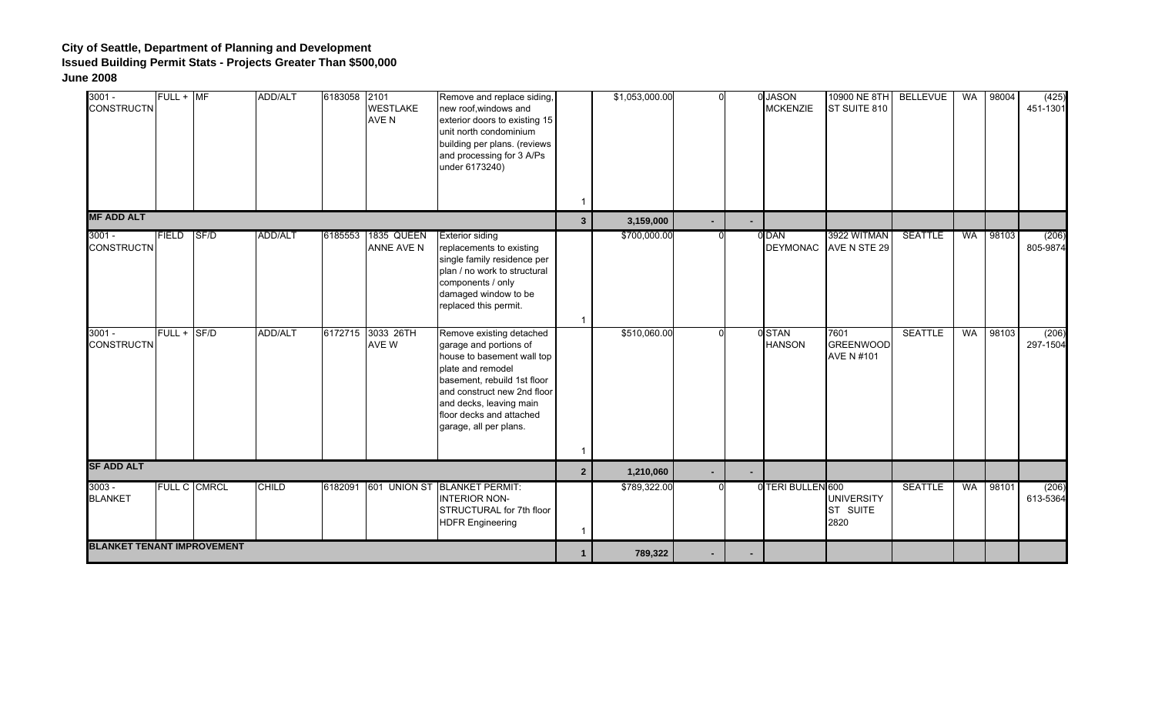| $3001 -$<br><b>CONSTRUCTN</b>     | $FULL + MF$  |              | ADD/ALT        | 6183058 2101 | <b>WESTLAKE</b><br>AVE N   | Remove and replace siding,<br>new roof, windows and<br>exterior doors to existing 15<br>unit north condominium<br>building per plans. (reviews<br>and processing for 3 A/Ps<br>under 6173240)                                                        | -1             | \$1,053,000.00 |        | 0 JASON<br><b>MCKENZIE</b> | 10900 NE 8TH<br>ST SUITE 810           | <b>BELLEVUE</b> | WA | 98004 | (425)<br>451-1301 |
|-----------------------------------|--------------|--------------|----------------|--------------|----------------------------|------------------------------------------------------------------------------------------------------------------------------------------------------------------------------------------------------------------------------------------------------|----------------|----------------|--------|----------------------------|----------------------------------------|-----------------|----|-------|-------------------|
| <b>MF ADD ALT</b>                 |              |              |                |              |                            |                                                                                                                                                                                                                                                      | $3\phantom{a}$ | 3,159,000      | $\sim$ |                            |                                        |                 |    |       |                   |
| $3001 -$<br><b>CONSTRUCTN</b>     | <b>FIELD</b> | SF/D         | <b>ADD/ALT</b> | 6185553      | 1835 QUEEN<br>ANNE AVE N   | <b>Exterior siding</b><br>replacements to existing<br>single family residence per<br>plan / no work to structural<br>components / only<br>damaged window to be<br>replaced this permit.                                                              | 1              | \$700,000.00   |        | 0 DAN                      | 3922 WITMAN<br>DEYMONAC AVE N STE 29   | <b>SEATTLE</b>  | WA | 98103 | (206)<br>805-9874 |
| $3001 -$<br><b>CONSTRUCTN</b>     | $FULL + SFD$ |              | <b>ADD/ALT</b> |              | 6172715 3033 26TH<br>AVE W | Remove existing detached<br>garage and portions of<br>house to basement wall top<br>plate and remodel<br>basement, rebuild 1st floor<br>and construct new 2nd floor<br>and decks, leaving main<br>floor decks and attached<br>garage, all per plans. | $\mathbf 1$    | \$510,060.00   |        | 0STAN<br><b>HANSON</b>     | 7601<br><b>GREENWOOD</b><br>AVE N #101 | <b>SEATTLE</b>  | WA | 98103 | (206)<br>297-1504 |
| <b>SF ADD ALT</b>                 |              |              |                |              |                            |                                                                                                                                                                                                                                                      | 2 <sup>2</sup> | 1,210,060      | $\sim$ |                            |                                        |                 |    |       |                   |
| $3003 -$<br><b>BLANKET</b>        |              | FULL C CMRCL | <b>CHILD</b>   |              |                            | 6182091 601 UNION ST BLANKET PERMIT:<br><b>INTERIOR NON-</b><br>STRUCTURAL for 7th floor<br><b>HDFR Engineering</b>                                                                                                                                  | $\mathbf 1$    | \$789,322.00   |        | 0 TERI BULLEN 600          | <b>UNIVERSITY</b><br>ST SUITE<br>2820  | <b>SEATTLE</b>  | WA | 98101 | (206)<br>613-5364 |
| <b>BLANKET TENANT IMPROVEMENT</b> |              |              |                |              |                            |                                                                                                                                                                                                                                                      | 1              | 789,322        | ۰.     |                            |                                        |                 |    |       |                   |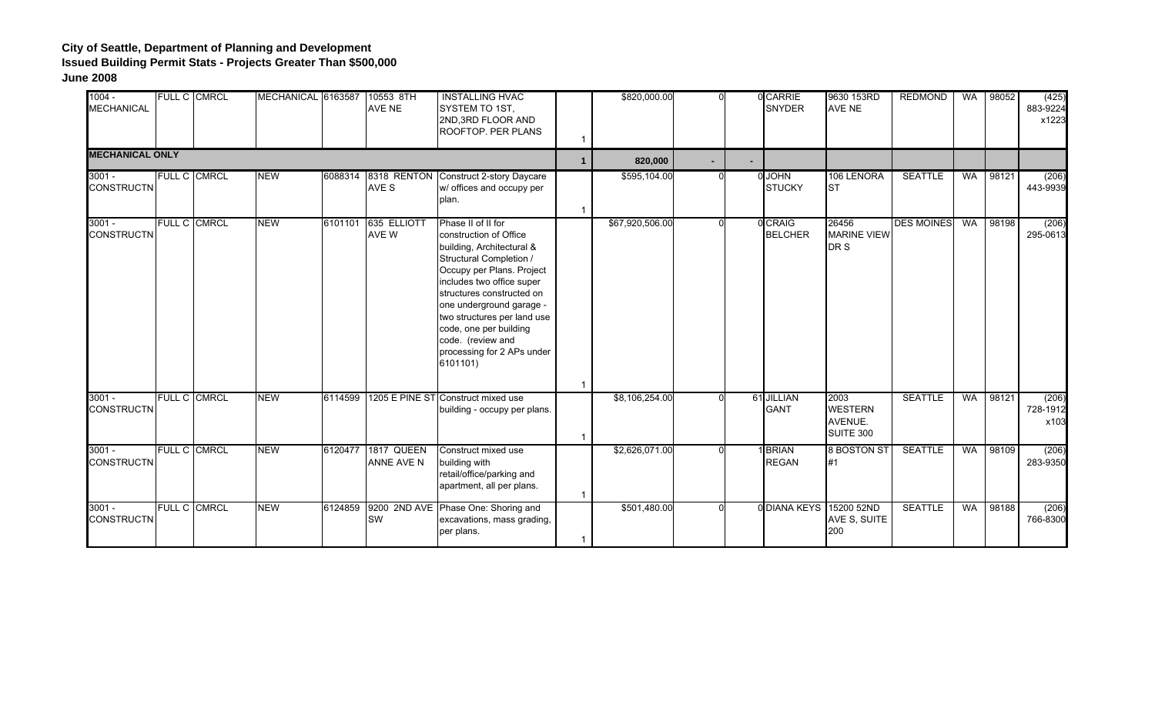| $1004 -$<br><b>MECHANICAL</b> | FULL C CMRCL        | MECHANICAL 6163587 |         | 10553 8TH<br>AVE NE              | <b>INSTALLING HVAC</b><br>SYSTEM TO 1ST,<br>2ND, 3RD FLOOR AND<br>ROOFTOP. PER PLANS                                                                                                                                                                                                                                                            | $\mathbf 1$    | \$820,000.00    | ΩI       | 0 CARRIE<br><b>SNYDER</b>      | 9630 153RD<br><b>AVE NE</b>                    | <b>REDMOND</b>    | WA        | 98052 | (425)<br>883-9224<br>x1223 |
|-------------------------------|---------------------|--------------------|---------|----------------------------------|-------------------------------------------------------------------------------------------------------------------------------------------------------------------------------------------------------------------------------------------------------------------------------------------------------------------------------------------------|----------------|-----------------|----------|--------------------------------|------------------------------------------------|-------------------|-----------|-------|----------------------------|
| <b>MECHANICAL ONLY</b>        |                     |                    |         |                                  |                                                                                                                                                                                                                                                                                                                                                 | $\mathbf{1}$   | 820,000         |          |                                |                                                |                   |           |       |                            |
| $3001 -$<br><b>CONSTRUCTN</b> | FULL C CMRCL        | <b>NEW</b>         |         | AVE S                            | 6088314 8318 RENTON Construct 2-story Daycare<br>w/ offices and occupy per<br>plan.                                                                                                                                                                                                                                                             | 1              | \$595,104.00    | $\Omega$ | <b>O</b> JOHN<br><b>STUCKY</b> | 106 LENORA<br><b>ST</b>                        | <b>SEATTLE</b>    | <b>WA</b> | 98121 | (206)<br>443-9939          |
| $3001 -$<br><b>CONSTRUCTN</b> | FULL C CMRCL        | <b>NEW</b>         |         | 6101101 635 ELLIOTT<br>AVE W     | Phase II of II for<br>construction of Office<br>building, Architectural &<br>Structural Completion /<br>Occupy per Plans. Project<br>includes two office super<br>structures constructed on<br>one underground garage -<br>two structures per land use<br>code, one per building<br>code. (review and<br>processing for 2 APs under<br>6101101) | $\overline{1}$ | \$67,920,506.00 |          | 0 CRAIG<br><b>BELCHER</b>      | 26456<br><b>MARINE VIEW</b><br>DR S            | <b>DES MOINES</b> | WA        | 98198 | (206)<br>295-0613          |
| $3001 -$<br><b>CONSTRUCTN</b> | <b>FULL C CMRCL</b> | <b>NEW</b>         | 6114599 |                                  | 1205 E PINE ST Construct mixed use<br>building - occupy per plans.                                                                                                                                                                                                                                                                              | 1              | \$8,106,254.00  | $\Omega$ | 61 JILLIAN<br><b>GANT</b>      | 2003<br><b>WESTERN</b><br>AVENUE.<br>SUITE 300 | <b>SEATTLE</b>    | <b>WA</b> | 98121 | (206)<br>728-1912<br>x103  |
| $3001 -$<br><b>CONSTRUCTN</b> | <b>FULL C CMRCL</b> | <b>NEW</b>         |         | 6120477 1817 QUEEN<br>ANNE AVE N | Construct mixed use<br>building with<br>retail/office/parking and<br>apartment, all per plans.                                                                                                                                                                                                                                                  | 1              | \$2,626,071.00  |          | <b>BRIAN</b><br><b>REGAN</b>   | 8 BOSTON ST<br>#1                              | <b>SEATTLE</b>    | <b>WA</b> | 98109 | (206)<br>283-9350          |
| $3001 -$<br><b>CONSTRUCTN</b> | FULL C CMRCL        | <b>NEW</b>         | 6124859 | <b>SW</b>                        | 9200 2ND AVE Phase One: Shoring and<br>excavations, mass grading,<br>per plans.                                                                                                                                                                                                                                                                 | 1              | \$501,480.00    | U        | 0 DIANA KEYS                   | 15200 52ND<br>AVE S, SUITE<br>200              | <b>SEATTLE</b>    | <b>WA</b> | 98188 | (206)<br>766-8300          |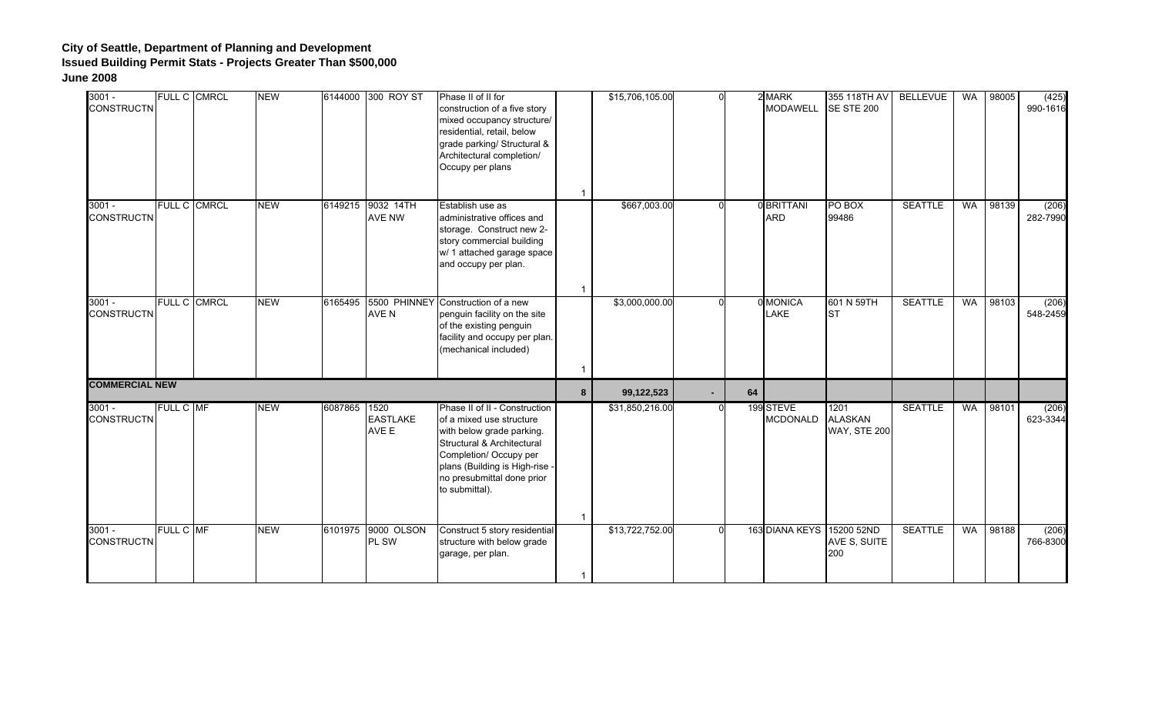| $3001 -$<br><b>CONSTRUCTN</b> |           | <b>FULL C CMRCL</b> | <b>NEW</b> |              | 6144000 300 ROY ST          | Phase II of II for<br>construction of a five story<br>mixed occupancy structure/<br>residential, retail, below<br>grade parking/ Structural &<br>Architectural completion/<br>Occupy per plans                                   | $\overline{1}$          | \$15,706,105.00 | $\Omega$ |    | 2 MARK<br><b>MODAWELL</b>    | 355 118TH AV<br>SE STE 200                    | <b>BELLEVUE</b> | <b>WA</b> | 98005 | (425)<br>990-1616 |
|-------------------------------|-----------|---------------------|------------|--------------|-----------------------------|----------------------------------------------------------------------------------------------------------------------------------------------------------------------------------------------------------------------------------|-------------------------|-----------------|----------|----|------------------------------|-----------------------------------------------|-----------------|-----------|-------|-------------------|
| $3001 -$<br><b>CONSTRUCTN</b> |           | FULL C CMRCL        | <b>NEW</b> |              | 6149215 9032 14TH<br>AVE NW | Establish use as<br>administrative offices and<br>storage. Construct new 2-<br>story commercial building<br>w/ 1 attached garage space<br>and occupy per plan.                                                                   | $\overline{1}$          | \$667,003.00    | ΩI       |    | 0 BRITTANI<br><b>ARD</b>     | PO BOX<br>99486                               | <b>SEATTLE</b>  | <b>WA</b> | 98139 | (206)<br>282-7990 |
| $3001 -$<br><b>CONSTRUCTN</b> |           | <b>FULL C CMRCL</b> | <b>NEW</b> | 6165495      | AVE N                       | 5500 PHINNEY Construction of a new<br>penguin facility on the site<br>of the existing penguin<br>facility and occupy per plan.<br>(mechanical included)                                                                          | $\overline{1}$          | \$3,000,000.00  |          |    | 0 MONICA<br><b>LAKE</b>      | 601 N 59TH<br><b>I</b> ST                     | <b>SEATTLE</b>  | <b>WA</b> | 98103 | (206)<br>548-2459 |
| <b>COMMERCIAL NEW</b>         |           |                     |            |              |                             |                                                                                                                                                                                                                                  | 8                       | 99,122,523      | $\sim$   | 64 |                              |                                               |                 |           |       |                   |
| $3001 -$<br><b>CONSTRUCTN</b> | FULL C MF |                     | <b>NEW</b> | 6087865 1520 | <b>EASTLAKE</b><br>AVE E    | Phase II of II - Construction<br>of a mixed use structure<br>with below grade parking.<br>Structural & Architectural<br>Completion/ Occupy per<br>plans (Building is High-rise -<br>no presubmittal done prior<br>to submittal). | $\overline{\mathbf{1}}$ | \$31,850,216.00 | $\Omega$ |    | 199 STEVE<br><b>MCDONALD</b> | 1201<br><b>ALASKAN</b><br><b>WAY, STE 200</b> | <b>SEATTLE</b>  | <b>WA</b> | 98101 | (206)<br>623-3344 |
| $3001 -$<br><b>CONSTRUCTN</b> | FULL C MF |                     | <b>NEW</b> |              | 6101975 9000 OLSON<br>PL SW | Construct 5 story residential<br>structure with below grade<br>garage, per plan.                                                                                                                                                 | $\overline{1}$          | \$13,722,752.00 | $\Omega$ |    | 163 DIANA KEYS 15200 52ND    | AVE S, SUITE<br>200                           | <b>SEATTLE</b>  | <b>WA</b> | 98188 | (206)<br>766-8300 |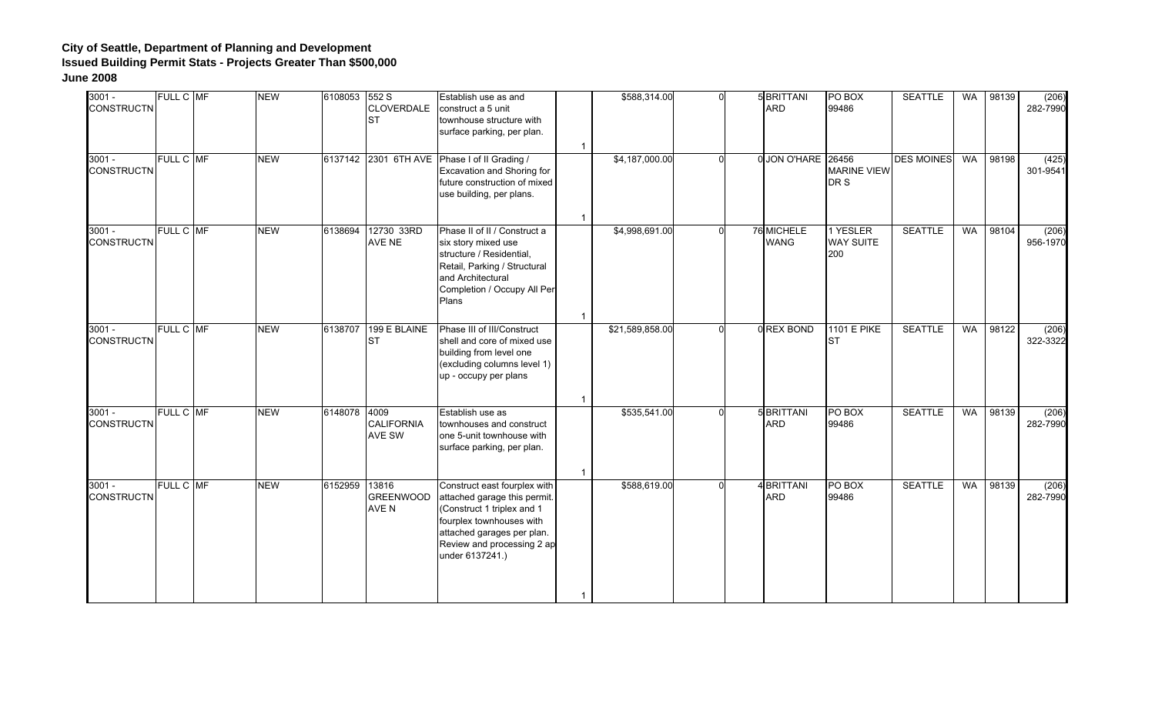| $3001 -$<br><b>CONSTRUCTN</b> | FULL C MF | <b>NEW</b> | 6108053 552 S | CLOVERDALE<br><b>ST</b>            | Establish use as and<br>construct a 5 unit<br>townhouse structure with<br>surface parking, per plan.                                                                                                  | $\overline{1}$ | \$588,314.00    | $\Omega$ | 5 BRITTANI<br><b>ARD</b>  | PO BOX<br>99486                     | <b>SEATTLE</b>    | WA        | 98139 | (206)<br>282-7990 |
|-------------------------------|-----------|------------|---------------|------------------------------------|-------------------------------------------------------------------------------------------------------------------------------------------------------------------------------------------------------|----------------|-----------------|----------|---------------------------|-------------------------------------|-------------------|-----------|-------|-------------------|
| $3001 -$<br><b>CONSTRUCTN</b> | FULL C MF | <b>NEW</b> |               |                                    | 6137142 2301 6TH AVE Phase I of II Grading /<br>Excavation and Shoring for<br>future construction of mixed<br>use building, per plans.                                                                | $\overline{1}$ | \$4,187,000.00  | U        | 0 JON O'HARE 26456        | <b>MARINE VIEW</b><br>DR S          | <b>DES MOINES</b> | WA        | 98198 | (425)<br>301-9541 |
| $3001 -$<br><b>CONSTRUCTN</b> | FULL C MF | <b>NEW</b> | 6138694       | 12730 33RD<br><b>AVE NE</b>        | Phase II of II / Construct a<br>six story mixed use<br>structure / Residential,<br>Retail, Parking / Structural<br>and Architectural<br>Completion / Occupy All Per<br>Plans                          | $\overline{1}$ | \$4,998,691.00  | $\Omega$ | 76 MICHELE<br><b>WANG</b> | 1 YESLER<br><b>WAY SUITE</b><br>200 | <b>SEATTLE</b>    | <b>WA</b> | 98104 | (206)<br>956-1970 |
| $3001 -$<br><b>CONSTRUCTN</b> | FULL C MF | <b>NEW</b> |               | 6138707 199 E BLAINE<br><b>ST</b>  | Phase III of III/Construct<br>shell and core of mixed use<br>building from level one<br>(excluding columns level 1)<br>up - occupy per plans                                                          | $\overline{1}$ | \$21,589,858.00 |          | 0 REX BOND                | 1101 E PIKE<br><b>IST</b>           | <b>SEATTLE</b>    | WA        | 98122 | (206)<br>322-3322 |
| $3001 -$<br><b>CONSTRUCTN</b> | FULL C MF | <b>NEW</b> | 6148078 4009  | <b>CALIFORNIA</b><br><b>AVE SW</b> | Establish use as<br>townhouses and construct<br>one 5-unit townhouse with<br>surface parking, per plan.                                                                                               | $\overline{1}$ | \$535,541.00    |          | 5 BRITTANI<br><b>ARD</b>  | PO BOX<br>99486                     | <b>SEATTLE</b>    | <b>WA</b> | 98139 | (206)<br>282-7990 |
| $3001 -$<br><b>CONSTRUCTN</b> | FULL C MF | <b>NEW</b> | 6152959       | 13816<br><b>GREENWOOD</b><br>AVE N | Construct east fourplex with<br>attached garage this permit.<br>(Construct 1 triplex and 1<br>fourplex townhouses with<br>attached garages per plan.<br>Review and processing 2 ap<br>under 6137241.) | $\overline{1}$ | \$588,619.00    | ∩        | 4 BRITTANI<br><b>ARD</b>  | PO BOX<br>99486                     | <b>SEATTLE</b>    | WA        | 98139 | (206)<br>282-7990 |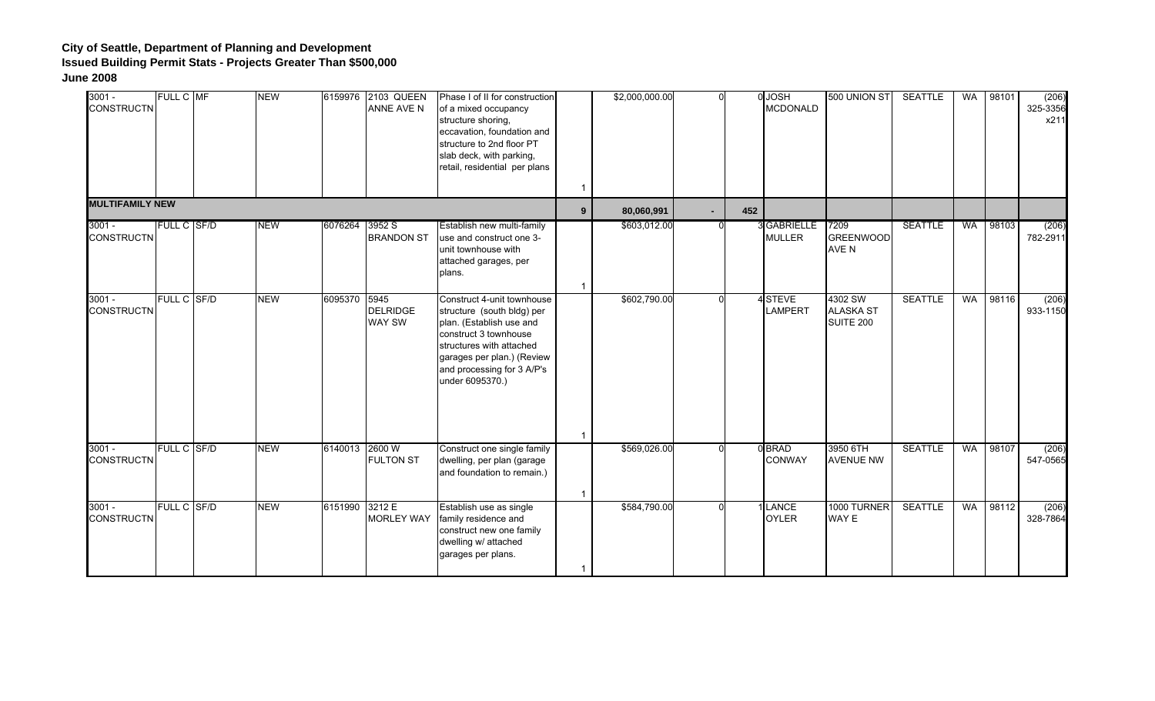| $3001 -$<br><b>CONSTRUCTN</b> | FULL C MF          | <b>NEW</b> |                | 6159976 2103 QUEEN<br>ANNE AVE N | Phase I of II for construction<br>of a mixed occupancy<br>structure shoring,<br>eccavation, foundation and<br>structure to 2nd floor PT<br>slab deck, with parking,<br>retail, residential per plans                     | $\mathbf{1}$   | \$2,000,000.00 | U      |     | 0 JOSH<br><b>MCDONALD</b>         | 500 UNION ST                             | <b>SEATTLE</b> | WA        | 98101 | (206)<br>325-3356<br>x211 |
|-------------------------------|--------------------|------------|----------------|----------------------------------|--------------------------------------------------------------------------------------------------------------------------------------------------------------------------------------------------------------------------|----------------|----------------|--------|-----|-----------------------------------|------------------------------------------|----------------|-----------|-------|---------------------------|
| <b>MULTIFAMILY NEW</b>        |                    |            |                |                                  |                                                                                                                                                                                                                          | 9 <sup>°</sup> | 80,060,991     | $\sim$ | 452 |                                   |                                          |                |           |       |                           |
| $3001 -$<br><b>CONSTRUCTN</b> | <b>FULL C SF/D</b> | <b>NEW</b> | 6076264 3952 S | <b>BRANDON ST</b>                | Establish new multi-family<br>use and construct one 3-<br>unit townhouse with<br>attached garages, per<br>plans.                                                                                                         | $\mathbf{1}$   | \$603,012.00   |        |     | <b>GABRIELLE</b><br><b>MULLER</b> | 7209<br><b>GREENWOOD</b><br>AVE N        | <b>SEATTLE</b> | WA        | 98103 | (206)<br>782-2911         |
| $3001 -$<br><b>CONSTRUCTN</b> | <b>FULL C SF/D</b> | <b>NEW</b> | 6095370 5945   | <b>DELRIDGE</b><br>WAY SW        | Construct 4-unit townhouse<br>structure (south bldg) per<br>plan. (Establish use and<br>construct 3 townhouse<br>structures with attached<br>garages per plan.) (Review<br>and processing for 3 A/P's<br>under 6095370.) | $\mathbf{1}$   | \$602,790.00   |        |     | 4STEVE<br><b>LAMPERT</b>          | 4302 SW<br><b>ALASKA ST</b><br>SUITE 200 | <b>SEATTLE</b> | <b>WA</b> | 98116 | (206)<br>933-1150         |
| $3001 -$<br><b>CONSTRUCTN</b> | FULL C SF/D        | <b>NEW</b> | 6140013 2600 W | <b>FULTON ST</b>                 | Construct one single family<br>dwelling, per plan (garage<br>and foundation to remain.)                                                                                                                                  | $\overline{1}$ | \$569,026.00   |        |     | 0BRAD<br>CONWAY                   | 3950 6TH<br><b>AVENUE NW</b>             | <b>SEATTLE</b> | <b>WA</b> | 98107 | (206)<br>547-0565         |
| $3001 -$<br><b>CONSTRUCTN</b> | FULL C SF/D        | <b>NEW</b> | 6151990 3212 E | <b>MORLEY WAY</b>                | Establish use as single<br>family residence and<br>construct new one family<br>dwelling w/ attached<br>garages per plans.                                                                                                | $\mathbf{1}$   | \$584,790.00   |        |     | LANCE<br><b>OYLER</b>             | 1000 TURNER<br>WAY E                     | <b>SEATTLE</b> | WA        | 98112 | (206)<br>328-7864         |